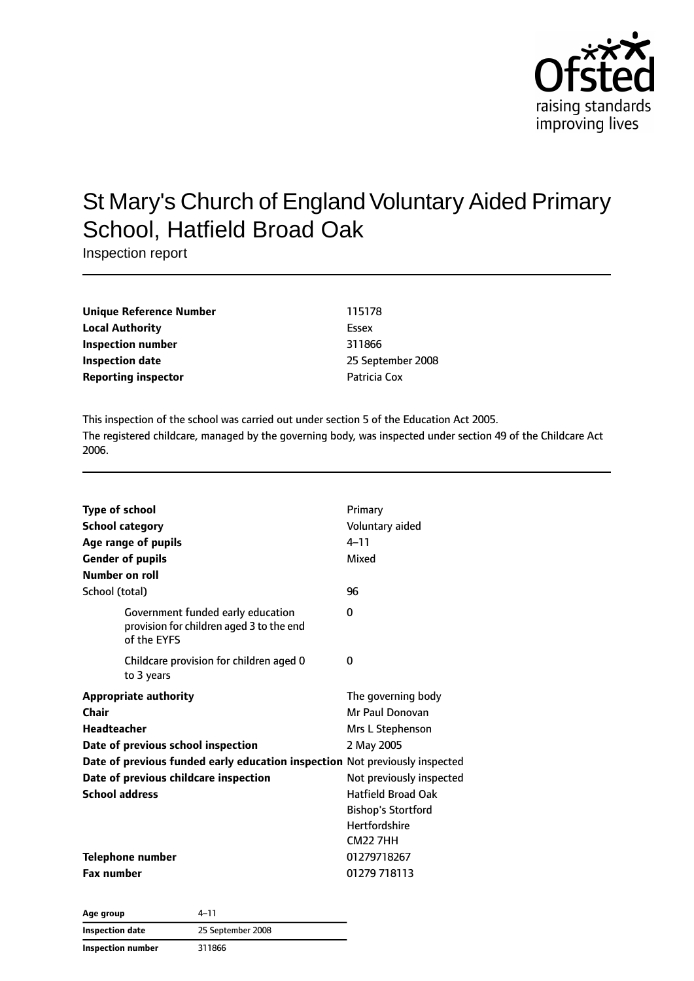

# St Mary's Church of England Voluntary Aided Primary School, Hatfield Broad Oak

Inspection report

| Unique Reference Number    | 115178            |
|----------------------------|-------------------|
| <b>Local Authority</b>     | Essex             |
| Inspection number          | 311866            |
| Inspection date            | 25 September 2008 |
| <b>Reporting inspector</b> | Patricia Cox      |

This inspection of the school was carried out under section 5 of the Education Act 2005. The registered childcare, managed by the governing body, was inspected under section 49 of the Childcare Act 2006.

| <b>Type of school</b>                                                                        | Primary                   |
|----------------------------------------------------------------------------------------------|---------------------------|
| <b>School category</b>                                                                       | Voluntary aided           |
| Age range of pupils                                                                          | $4 - 11$                  |
| <b>Gender of pupils</b>                                                                      | Mixed                     |
| Number on roll                                                                               |                           |
| School (total)                                                                               | 96                        |
| Government funded early education<br>provision for children aged 3 to the end<br>of the EYFS | 0                         |
| Childcare provision for children aged 0<br>to 3 years                                        | 0                         |
| <b>Appropriate authority</b>                                                                 | The governing body        |
| Chair                                                                                        | Mr Paul Donovan           |
| <b>Headteacher</b>                                                                           | Mrs L Stephenson          |
| Date of previous school inspection                                                           | 2 May 2005                |
| Date of previous funded early education inspection Not previously inspected                  |                           |
| Date of previous childcare inspection                                                        | Not previously inspected  |
| <b>School address</b>                                                                        | <b>Hatfield Broad Oak</b> |
|                                                                                              | <b>Bishop's Stortford</b> |
|                                                                                              | <b>Hertfordshire</b>      |
|                                                                                              | <b>CM22 7HH</b>           |
| Telephone number                                                                             | 01279718267               |
| <b>Fax number</b>                                                                            | 01279 718113              |

**Age group** 4–11 **Inspection date** 25 September 2008 **Inspection number** 311866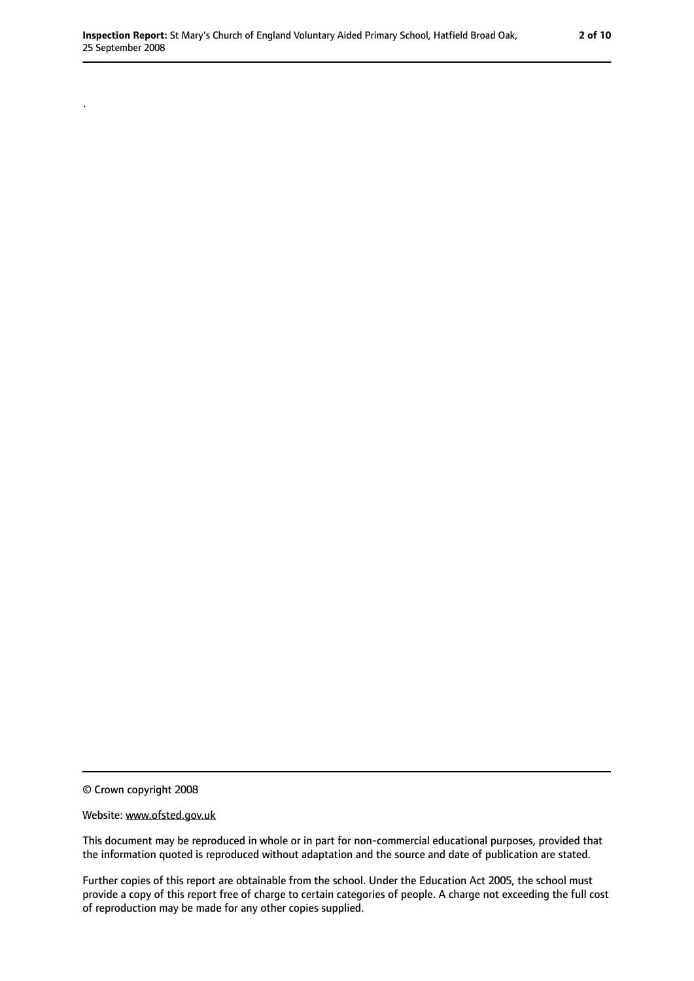© Crown copyright 2008

.

#### Website: www.ofsted.gov.uk

This document may be reproduced in whole or in part for non-commercial educational purposes, provided that the information quoted is reproduced without adaptation and the source and date of publication are stated.

Further copies of this report are obtainable from the school. Under the Education Act 2005, the school must provide a copy of this report free of charge to certain categories of people. A charge not exceeding the full cost of reproduction may be made for any other copies supplied.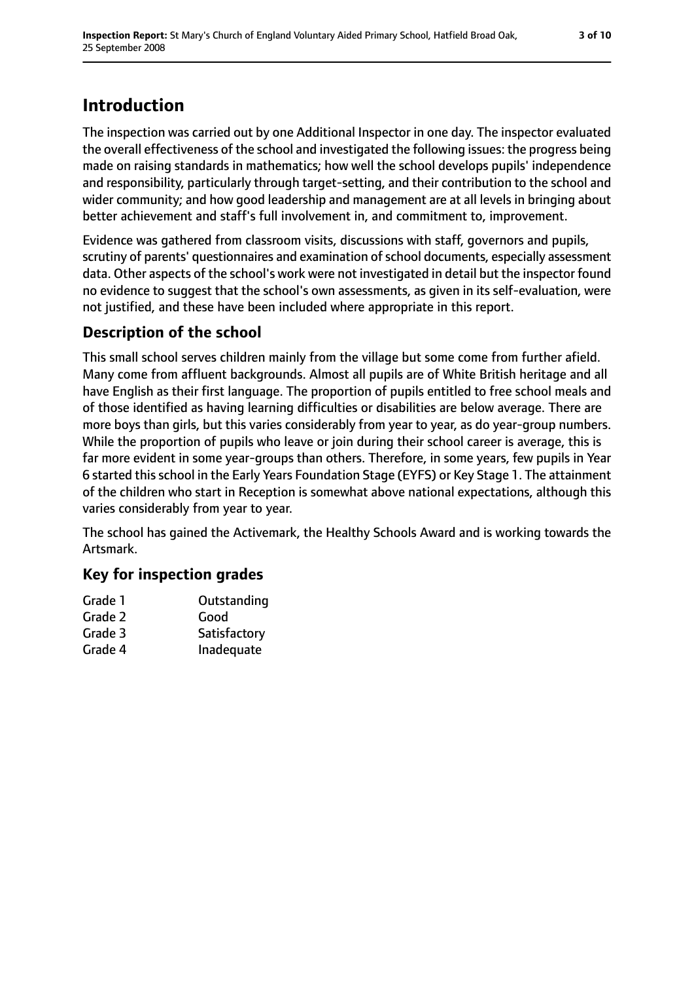### **Introduction**

The inspection was carried out by one Additional Inspector in one day. The inspector evaluated the overall effectiveness of the school and investigated the following issues: the progress being made on raising standards in mathematics; how well the school develops pupils' independence and responsibility, particularly through target-setting, and their contribution to the school and wider community; and how good leadership and management are at all levels in bringing about better achievement and staff's full involvement in, and commitment to, improvement.

Evidence was gathered from classroom visits, discussions with staff, governors and pupils, scrutiny of parents' questionnaires and examination of school documents, especially assessment data. Other aspects of the school's work were not investigated in detail but the inspector found no evidence to suggest that the school's own assessments, as given in its self-evaluation, were not justified, and these have been included where appropriate in this report.

### **Description of the school**

This small school serves children mainly from the village but some come from further afield. Many come from affluent backgrounds. Almost all pupils are of White British heritage and all have English as their first language. The proportion of pupils entitled to free school meals and of those identified as having learning difficulties or disabilities are below average. There are more boys than girls, but this varies considerably from year to year, as do year-group numbers. While the proportion of pupils who leave or join during their school career is average, this is far more evident in some year-groups than others. Therefore, in some years, few pupils in Year 6 started thisschool in the Early Years Foundation Stage (EYFS) or Key Stage 1. The attainment of the children who start in Reception is somewhat above national expectations, although this varies considerably from year to year.

The school has gained the Activemark, the Healthy Schools Award and is working towards the Artsmark.

#### **Key for inspection grades**

| Grade 1 | Outstanding  |
|---------|--------------|
| Grade 2 | Good         |
| Grade 3 | Satisfactory |
| Grade 4 | Inadequate   |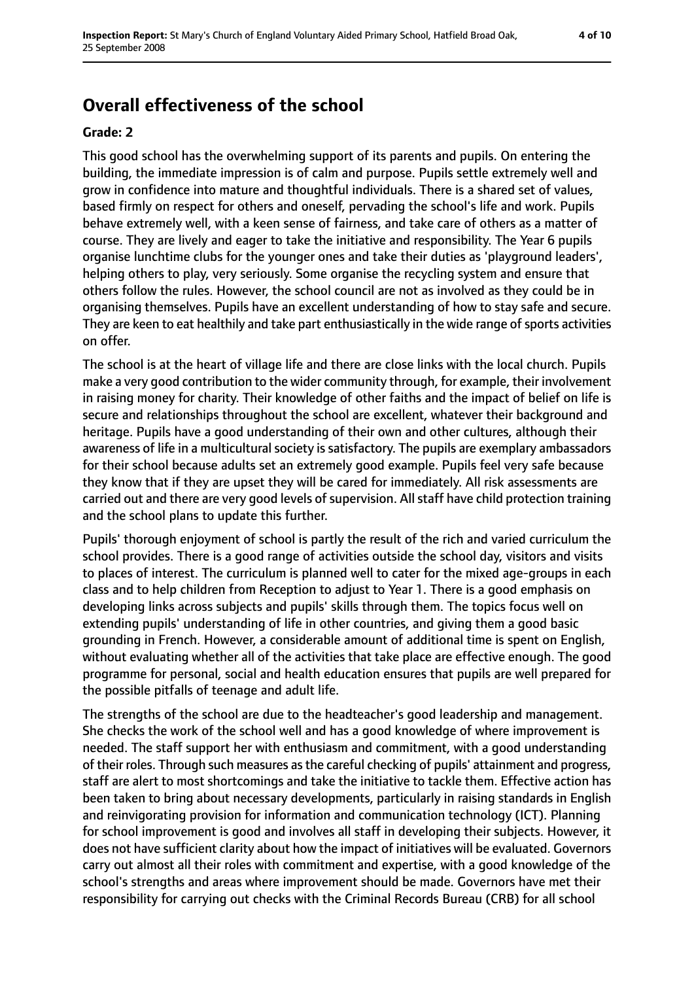### **Overall effectiveness of the school**

#### **Grade: 2**

This good school has the overwhelming support of its parents and pupils. On entering the building, the immediate impression is of calm and purpose. Pupils settle extremely well and grow in confidence into mature and thoughtful individuals. There is a shared set of values, based firmly on respect for others and oneself, pervading the school's life and work. Pupils behave extremely well, with a keen sense of fairness, and take care of others as a matter of course. They are lively and eager to take the initiative and responsibility. The Year 6 pupils organise lunchtime clubs for the younger ones and take their duties as 'playground leaders', helping others to play, very seriously. Some organise the recycling system and ensure that others follow the rules. However, the school council are not as involved as they could be in organising themselves. Pupils have an excellent understanding of how to stay safe and secure. They are keen to eat healthily and take part enthusiastically in the wide range of sports activities on offer.

The school is at the heart of village life and there are close links with the local church. Pupils make a very good contribution to the wider community through, for example, their involvement in raising money for charity. Their knowledge of other faiths and the impact of belief on life is secure and relationships throughout the school are excellent, whatever their background and heritage. Pupils have a good understanding of their own and other cultures, although their awareness of life in a multicultural society is satisfactory. The pupils are exemplary ambassadors for their school because adults set an extremely good example. Pupils feel very safe because they know that if they are upset they will be cared for immediately. All risk assessments are carried out and there are very good levels of supervision. All staff have child protection training and the school plans to update this further.

Pupils' thorough enjoyment of school is partly the result of the rich and varied curriculum the school provides. There is a good range of activities outside the school day, visitors and visits to places of interest. The curriculum is planned well to cater for the mixed age-groups in each class and to help children from Reception to adjust to Year 1. There is a good emphasis on developing links across subjects and pupils' skills through them. The topics focus well on extending pupils' understanding of life in other countries, and giving them a good basic grounding in French. However, a considerable amount of additional time is spent on English, without evaluating whether all of the activities that take place are effective enough. The good programme for personal, social and health education ensures that pupils are well prepared for the possible pitfalls of teenage and adult life.

The strengths of the school are due to the headteacher's good leadership and management. She checks the work of the school well and has a good knowledge of where improvement is needed. The staff support her with enthusiasm and commitment, with a good understanding of their roles. Through such measures asthe careful checking of pupils' attainment and progress, staff are alert to most shortcomings and take the initiative to tackle them. Effective action has been taken to bring about necessary developments, particularly in raising standards in English and reinvigorating provision for information and communication technology (ICT). Planning for school improvement is good and involves all staff in developing their subjects. However, it does not have sufficient clarity about how the impact of initiatives will be evaluated. Governors carry out almost all their roles with commitment and expertise, with a good knowledge of the school's strengths and areas where improvement should be made. Governors have met their responsibility for carrying out checks with the Criminal Records Bureau (CRB) for all school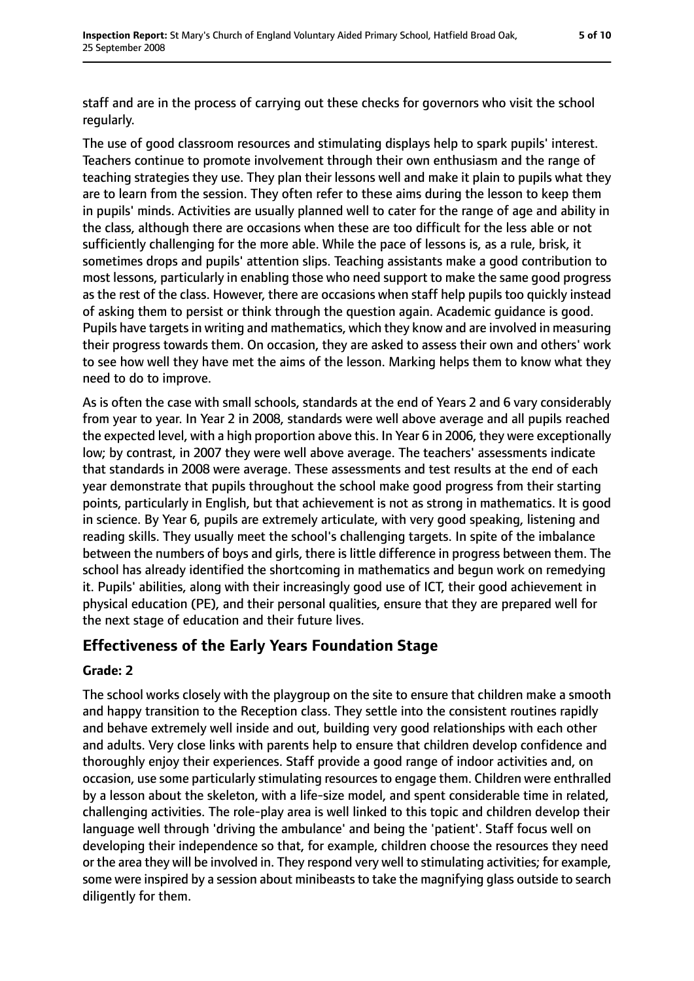staff and are in the process of carrying out these checks for governors who visit the school regularly.

The use of good classroom resources and stimulating displays help to spark pupils' interest. Teachers continue to promote involvement through their own enthusiasm and the range of teaching strategies they use. They plan their lessons well and make it plain to pupils what they are to learn from the session. They often refer to these aims during the lesson to keep them in pupils' minds. Activities are usually planned well to cater for the range of age and ability in the class, although there are occasions when these are too difficult for the less able or not sufficiently challenging for the more able. While the pace of lessons is, as a rule, brisk, it sometimes drops and pupils' attention slips. Teaching assistants make a good contribution to most lessons, particularly in enabling those who need support to make the same good progress as the rest of the class. However, there are occasions when staff help pupils too quickly instead of asking them to persist or think through the question again. Academic guidance is good. Pupils have targets in writing and mathematics, which they know and are involved in measuring their progress towards them. On occasion, they are asked to assess their own and others' work to see how well they have met the aims of the lesson. Marking helps them to know what they need to do to improve.

As is often the case with small schools, standards at the end of Years 2 and 6 vary considerably from year to year. In Year 2 in 2008, standards were well above average and all pupils reached the expected level, with a high proportion above this. In Year 6 in 2006, they were exceptionally low; by contrast, in 2007 they were well above average. The teachers' assessments indicate that standards in 2008 were average. These assessments and test results at the end of each year demonstrate that pupils throughout the school make good progress from their starting points, particularly in English, but that achievement is not as strong in mathematics. It is good in science. By Year 6, pupils are extremely articulate, with very good speaking, listening and reading skills. They usually meet the school's challenging targets. In spite of the imbalance between the numbers of boys and girls, there is little difference in progress between them. The school has already identified the shortcoming in mathematics and begun work on remedying it. Pupils' abilities, along with their increasingly good use of ICT, their good achievement in physical education (PE), and their personal qualities, ensure that they are prepared well for the next stage of education and their future lives.

#### **Effectiveness of the Early Years Foundation Stage**

#### **Grade: 2**

The school works closely with the playgroup on the site to ensure that children make a smooth and happy transition to the Reception class. They settle into the consistent routines rapidly and behave extremely well inside and out, building very good relationships with each other and adults. Very close links with parents help to ensure that children develop confidence and thoroughly enjoy their experiences. Staff provide a good range of indoor activities and, on occasion, use some particularly stimulating resources to engage them. Children were enthralled by a lesson about the skeleton, with a life-size model, and spent considerable time in related, challenging activities. The role-play area is well linked to this topic and children develop their language well through 'driving the ambulance' and being the 'patient'. Staff focus well on developing their independence so that, for example, children choose the resources they need or the area they will be involved in. They respond very well to stimulating activities; for example, some were inspired by a session about minibeasts to take the magnifying glass outside to search diligently for them.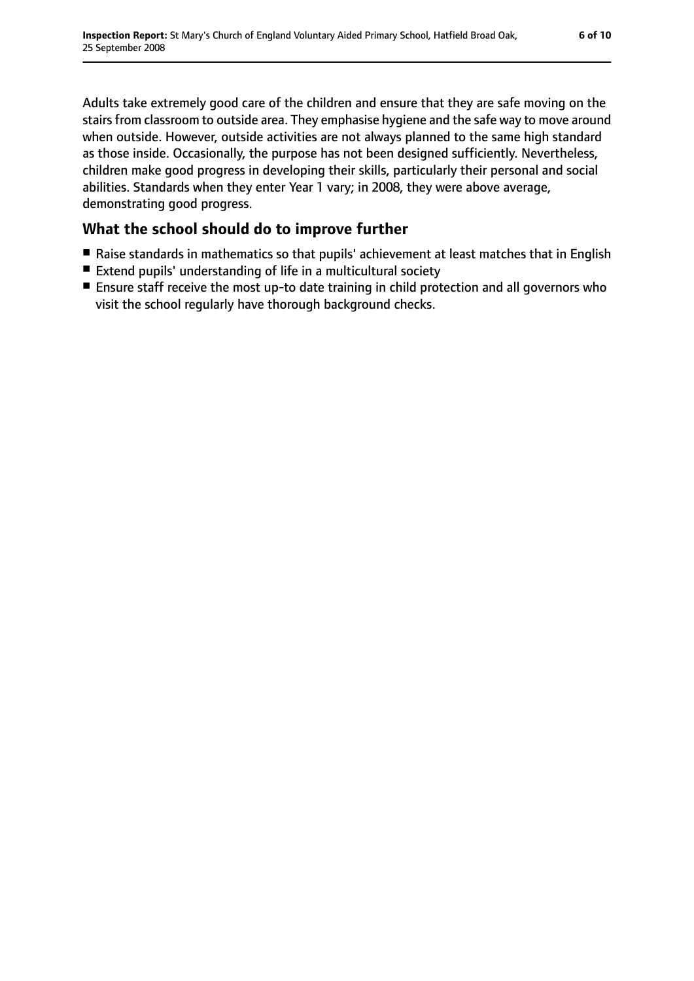Adults take extremely good care of the children and ensure that they are safe moving on the stairs from classroom to outside area. They emphasise hygiene and the safe way to move around when outside. However, outside activities are not always planned to the same high standard as those inside. Occasionally, the purpose has not been designed sufficiently. Nevertheless, children make good progress in developing their skills, particularly their personal and social abilities. Standards when they enter Year 1 vary; in 2008, they were above average, demonstrating good progress.

#### **What the school should do to improve further**

- Raise standards in mathematics so that pupils' achievement at least matches that in English
- Extend pupils' understanding of life in a multicultural society
- Ensure staff receive the most up-to date training in child protection and all governors who visit the school regularly have thorough background checks.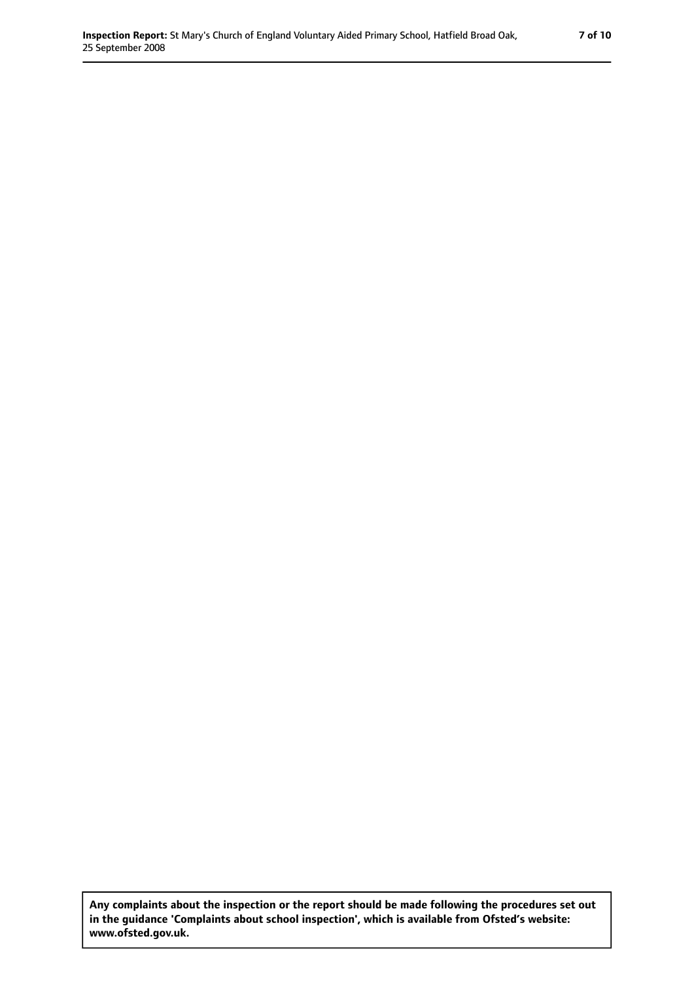**Any complaints about the inspection or the report should be made following the procedures set out in the guidance 'Complaints about school inspection', which is available from Ofsted's website: www.ofsted.gov.uk.**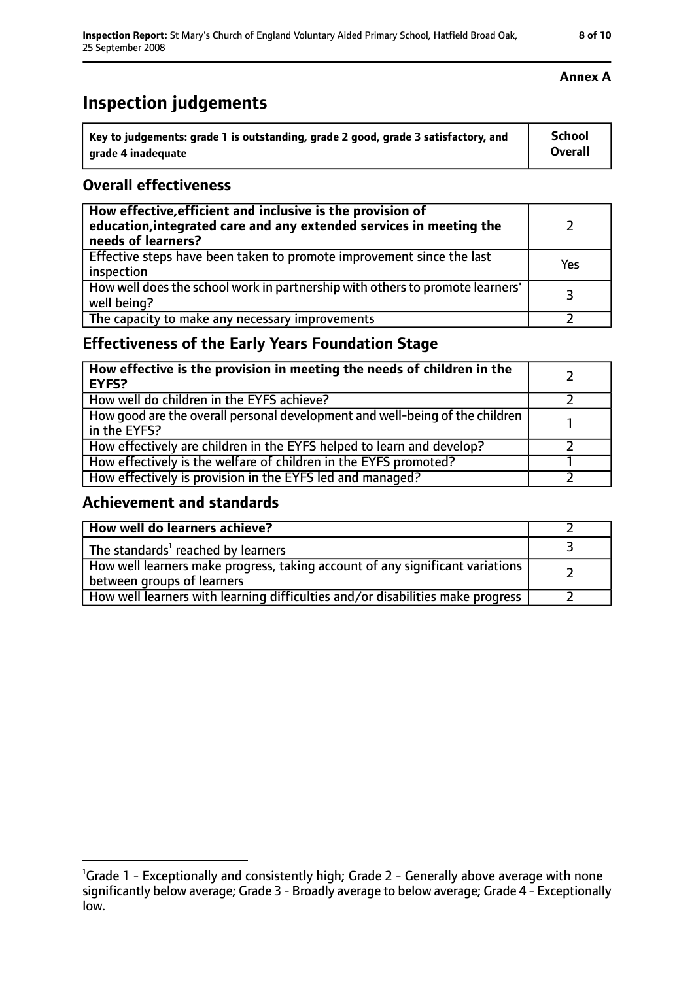## **Inspection judgements**

| Key to judgements: grade 1 is outstanding, grade 2 good, grade 3 satisfactory, and | <b>School</b>  |
|------------------------------------------------------------------------------------|----------------|
| arade 4 inadequate                                                                 | <b>Overall</b> |

#### **Overall effectiveness**

| How effective, efficient and inclusive is the provision of<br>education, integrated care and any extended services in meeting the<br>needs of learners? |     |
|---------------------------------------------------------------------------------------------------------------------------------------------------------|-----|
| Effective steps have been taken to promote improvement since the last<br>inspection                                                                     | Yes |
| How well does the school work in partnership with others to promote learners'<br>well being?                                                            | っ   |
| The capacity to make any necessary improvements                                                                                                         |     |

#### **Effectiveness of the Early Years Foundation Stage**

| How effective is the provision in meeting the needs of children in the<br><b>EYFS?</b>       |  |
|----------------------------------------------------------------------------------------------|--|
| How well do children in the EYFS achieve?                                                    |  |
| How good are the overall personal development and well-being of the children<br>in the EYFS? |  |
| How effectively are children in the EYFS helped to learn and develop?                        |  |
| How effectively is the welfare of children in the EYFS promoted?                             |  |
| How effectively is provision in the EYFS led and managed?                                    |  |

#### **Achievement and standards**

| How well do learners achieve?                                                                               |  |
|-------------------------------------------------------------------------------------------------------------|--|
| The standards <sup>1</sup> reached by learners                                                              |  |
| How well learners make progress, taking account of any significant variations<br>between groups of learners |  |
| How well learners with learning difficulties and/or disabilities make progress                              |  |

#### **Annex A**

<sup>&</sup>lt;sup>1</sup>Grade 1 - Exceptionally and consistently high; Grade 2 - Generally above average with none significantly below average; Grade 3 - Broadly average to below average; Grade 4 - Exceptionally low.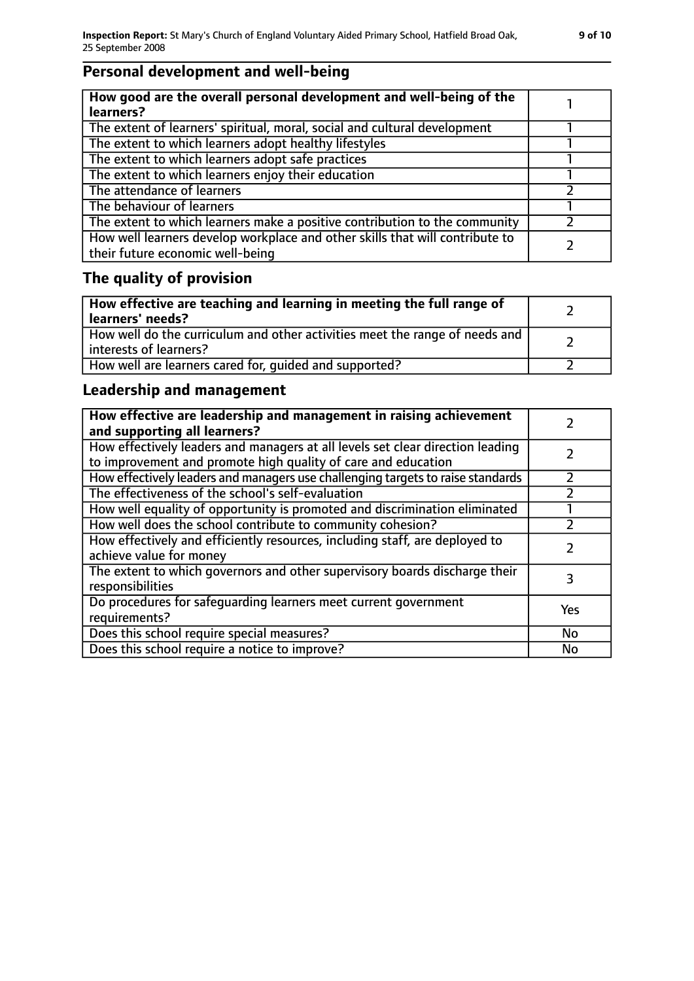### **Personal development and well-being**

| How good are the overall personal development and well-being of the<br>learners?                                 |  |
|------------------------------------------------------------------------------------------------------------------|--|
| The extent of learners' spiritual, moral, social and cultural development                                        |  |
| The extent to which learners adopt healthy lifestyles                                                            |  |
| The extent to which learners adopt safe practices                                                                |  |
| The extent to which learners enjoy their education                                                               |  |
| The attendance of learners                                                                                       |  |
| The behaviour of learners                                                                                        |  |
| The extent to which learners make a positive contribution to the community                                       |  |
| How well learners develop workplace and other skills that will contribute to<br>their future economic well-being |  |

### **The quality of provision**

| How effective are teaching and learning in meeting the full range of<br>learners' needs?              |  |
|-------------------------------------------------------------------------------------------------------|--|
| How well do the curriculum and other activities meet the range of needs and<br>interests of learners? |  |
| How well are learners cared for, quided and supported?                                                |  |

### **Leadership and management**

| How effective are leadership and management in raising achievement<br>and supporting all learners?                                              |     |
|-------------------------------------------------------------------------------------------------------------------------------------------------|-----|
| How effectively leaders and managers at all levels set clear direction leading<br>to improvement and promote high quality of care and education |     |
| How effectively leaders and managers use challenging targets to raise standards                                                                 |     |
| The effectiveness of the school's self-evaluation                                                                                               |     |
| How well equality of opportunity is promoted and discrimination eliminated                                                                      |     |
| How well does the school contribute to community cohesion?                                                                                      |     |
| How effectively and efficiently resources, including staff, are deployed to<br>achieve value for money                                          |     |
| The extent to which governors and other supervisory boards discharge their<br>responsibilities                                                  | 3   |
| Do procedures for safequarding learners meet current government<br>requirements?                                                                | Yes |
| Does this school require special measures?                                                                                                      | No  |
| Does this school require a notice to improve?                                                                                                   | No  |